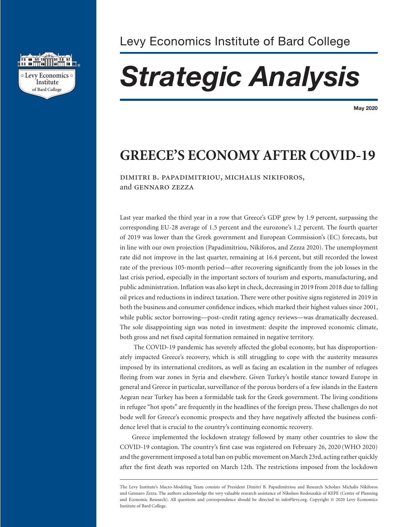

# *Strategic Analysis*

**May 2020**

## **GREECE'S ECONOMY AFTER COVID-19**

dimitri b. papadimitriou, michalis nikiforos, and gennaro zezza

Last year marked the third year in a row that Greece's GDP grew by 1.9 percent, surpassing the corresponding EU-28 average of 1.5 percent and the eurozone's 1.2 percent. The fourth quarter of 2019 was lower than the Greek government and European Commission's (EC) forecasts, but in line with our own projection (Papadimitriou, Nikiforos, and Zezza 2020). The unemployment rate did not improve in the last quarter, remaining at 16.4 percent, but still recorded the lowest rate of the previous 105-month period—after recovering significantly from the job losses in the last crisis period, especially in the important sectors of tourism and exports, manufacturing, and public administration. Inflation was also kept in check, decreasing in 2019 from 2018 due to falling oil prices and reductions in indirect taxation. There were other positive signs registered in 2019 in both the business and consumer confidence indices, which marked their highest values since 2001, while public sector borrowing—post–credit rating agency reviews—was dramatically decreased. The sole disappointing sign was noted in investment: despite the improved economic climate, both gross and net fixed capital formation remained in negative territory.

 The COVID-19 pandemic has severely affected the global economy, but has disproportionately impacted Greece's recovery, which is still struggling to cope with the austerity measures imposed by its international creditors, as well as facing an escalation in the number of refugees fleeing from war zones in Syria and elsewhere. Given Turkey's hostile stance toward Europe in general and Greece in particular, surveillance of the porous borders of a few islands in the Eastern Aegean near Turkey has been a formidable task for the Greek government. The living conditions in refugee "hot spots" are frequently in the headlines of the foreign press. These challenges do not bode well for Greece's economic prospects and they have negatively affected the business confidence level that is crucial to the country's continuing economic recovery.

Greece implemented the lockdown strategy followed by many other countries to slow the COVID-19 contagion. The country's first case was registered on February 26, 2020 (WHO 2020) and the government imposed a total ban on public movement on March 23rd, acting rather quickly after the first death was reported on March 12th. The restrictions imposed from the lockdown

The Levy Institute's Macro-Modeling Team consists of President Dimitri B. Papadimitriou and Research Scholars Michalis Nikiforos and Gennaro Zezza. The authors acknowledge the very valuable research assistance of Nikolaos Rodousakis of KEPE (Centre of Planning and Economic Research). All questions and correspondence should be directed to info@levy.org. Copyright © 2020 Levy Economics Institute of Bard College.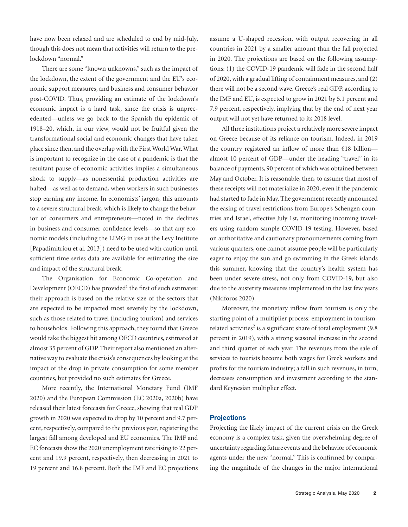have now been relaxed and are scheduled to end by mid-July, though this does not mean that activities will return to the prelockdown "normal."

There are some "known unknowns," such as the impact of the lockdown, the extent of the government and the EU's economic support measures, and business and consumer behavior post-COVID. Thus, providing an estimate of the lockdown's economic impact is a hard task, since the crisis is unprecedented—unless we go back to the Spanish flu epidemic of 1918–20, which, in our view, would not be fruitful given the transformational social and economic changes that have taken place since then, and the overlap with the First World War. What is important to recognize in the case of a pandemic is that the resultant pause of economic activities implies a simultaneous shock to supply—as nonessential production activities are halted—as well as to demand, when workers in such businesses stop earning any income. In economists' jargon, this amounts to a severe structural break, which is likely to change the behavior of consumers and entrepreneurs—noted in the declines in business and consumer confidence levels—so that any economic models (including the LIMG in use at the Levy Institute [Papadimitriou et al. 2013]) need to be used with caution until sufficient time series data are available for estimating the size and impact of the structural break.

The Organisation for Economic Co-operation and Development (OECD) has provided<sup>1</sup> the first of such estimates: their approach is based on the relative size of the sectors that are expected to be impacted most severely by the lockdown, such as those related to travel (including tourism) and services to households. Following this approach, they found that Greece would take the biggest hit among OECD countries, estimated at almost 35 percent of GDP. Their report also mentioned an alternative way to evaluate the crisis's consequences by looking at the impact of the drop in private consumption for some member countries, but provided no such estimates for Greece.

More recently, the International Monetary Fund (IMF 2020) and the European Commission (EC 2020a, 2020b) have released their latest forecasts for Greece, showing that real GDP growth in 2020 was expected to drop by 10 percent and 9.7 percent, respectively, compared to the previous year, registering the largest fall among developed and EU economies. The IMF and EC forecasts show the 2020 unemployment rate rising to 22 percent and 19.9 percent, respectively, then decreasing in 2021 to 19 percent and 16.8 percent. Both the IMF and EC projections assume a U-shaped recession, with output recovering in all countries in 2021 by a smaller amount than the fall projected in 2020. The projections are based on the following assumptions: (1) the COVID-19 pandemic will fade in the second half of 2020, with a gradual lifting of containment measures, and (2) there will not be a second wave. Greece's real GDP, according to the IMF and EU, is expected to grow in 2021 by 5.1 percent and 7.9 percent, respectively, implying that by the end of next year output will not yet have returned to its 2018 level.

All three institutions project a relatively more severe impact on Greece because of its reliance on tourism. Indeed, in 2019 the country registered an inflow of more than €18 billion almost 10 percent of GDP—under the heading "travel" in its balance of payments, 90 percent of which was obtained between May and October. It is reasonable, then, to assume that most of these receipts will not materialize in 2020, even if the pandemic had started to fade in May. The government recently announced the easing of travel restrictions from Europe's Schengen countries and Israel, effective July 1st, monitoring incoming travelers using random sample COVID-19 testing. However, based on authoritative and cautionary pronouncements coming from various quarters, one cannot assume people will be particularly eager to enjoy the sun and go swimming in the Greek islands this summer, knowing that the country's health system has been under severe stress, not only from COVID-19, but also due to the austerity measures implemented in the last few years (Nikiforos 2020).

Moreover, the monetary inflow from tourism is only the starting point of a multiplier process: employment in tourismrelated activities<sup>2</sup> is a significant share of total employment (9.8) percent in 2019), with a strong seasonal increase in the second and third quarter of each year. The revenues from the sale of services to tourists become both wages for Greek workers and profits for the tourism industry; a fall in such revenues, in turn, decreases consumption and investment according to the standard Keynesian multiplier effect.

#### **Projections**

Projecting the likely impact of the current crisis on the Greek economy is a complex task, given the overwhelming degree of uncertainty regarding future events and the behavior of economic agents under the new "normal." This is confirmed by comparing the magnitude of the changes in the major international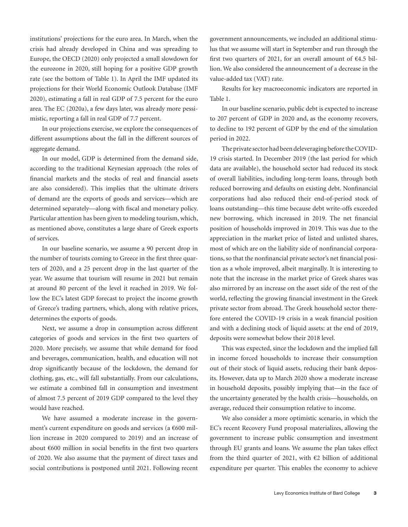institutions' projections for the euro area. In March, when the crisis had already developed in China and was spreading to Europe, the OECD (2020) only projected a small slowdown for the eurozone in 2020, still hoping for a positive GDP growth rate (see the bottom of Table 1). In April the IMF updated its projections for their World Economic Outlook Database (IMF 2020), estimating a fall in real GDP of 7.5 percent for the euro area. The EC (2020a), a few days later, was already more pessimistic, reporting a fall in real GDP of 7.7 percent.

In our projections exercise, we explore the consequences of different assumptions about the fall in the different sources of aggregate demand.

In our model, GDP is determined from the demand side, according to the traditional Keynesian approach (the roles of financial markets and the stocks of real and financial assets are also considered). This implies that the ultimate drivers of demand are the exports of goods and services—which are determined separately—along with fiscal and monetary policy. Particular attention has been given to modeling tourism, which, as mentioned above, constitutes a large share of Greek exports of services.

In our baseline scenario, we assume a 90 percent drop in the number of tourists coming to Greece in the first three quarters of 2020, and a 25 percent drop in the last quarter of the year. We assume that tourism will resume in 2021 but remain at around 80 percent of the level it reached in 2019. We follow the EC's latest GDP forecast to project the income growth of Greece's trading partners, which, along with relative prices, determines the exports of goods.

Next, we assume a drop in consumption across different categories of goods and services in the first two quarters of 2020. More precisely, we assume that while demand for food and beverages, communication, health, and education will not drop significantly because of the lockdown, the demand for clothing, gas, etc., will fall substantially. From our calculations, we estimate a combined fall in consumption and investment of almost 7.5 percent of 2019 GDP compared to the level they would have reached.

We have assumed a moderate increase in the government's current expenditure on goods and services (a €600 million increase in 2020 compared to 2019) and an increase of about €600 million in social benefits in the first two quarters of 2020. We also assume that the payment of direct taxes and social contributions is postponed until 2021. Following recent government announcements, we included an additional stimulus that we assume will start in September and run through the first two quarters of 2021, for an overall amount of €4.5 billion. We also considered the announcement of a decrease in the value-added tax (VAT) rate.

Results for key macroeconomic indicators are reported in Table 1.

In our baseline scenario, public debt is expected to increase to 207 percent of GDP in 2020 and, as the economy recovers, to decline to 192 percent of GDP by the end of the simulation period in 2022.

The private sector had been deleveraging before the COVID-19 crisis started. In December 2019 (the last period for which data are available), the household sector had reduced its stock of overall liabilities, including long-term loans, through both reduced borrowing and defaults on existing debt. Nonfinancial corporations had also reduced their end-of-period stock of loans outstanding—this time because debt write-offs exceeded new borrowing, which increased in 2019. The net financial position of households improved in 2019. This was due to the appreciation in the market price of listed and unlisted shares, most of which are on the liability side of nonfinancial corporations, so that the nonfinancial private sector's net financial position as a whole improved, albeit marginally. It is interesting to note that the increase in the market price of Greek shares was also mirrored by an increase on the asset side of the rest of the world, reflecting the growing financial investment in the Greek private sector from abroad. The Greek household sector therefore entered the COVID-19 crisis in a weak financial position and with a declining stock of liquid assets: at the end of 2019, deposits were somewhat below their 2018 level.

This was expected, since the lockdown and the implied fall in income forced households to increase their consumption out of their stock of liquid assets, reducing their bank deposits. However, data up to March 2020 show a moderate increase in household deposits, possibly implying that—in the face of the uncertainty generated by the health crisis—households, on average, reduced their consumption relative to income.

We also consider a more optimistic scenario, in which the EC's recent Recovery Fund proposal materializes, allowing the government to increase public consumption and investment through EU grants and loans. We assume the plan takes effect from the third quarter of 2021, with  $E2$  billion of additional expenditure per quarter. This enables the economy to achieve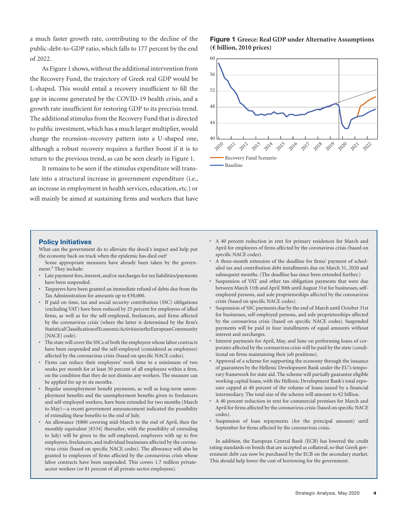a much faster growth rate, contributing to the decline of the public-debt-to-GDP ratio, which falls to 177 percent by the end of 2022.

As Figure 1 shows, without the additional intervention from the Recovery Fund, the trajectory of Greek real GDP would be L-shaped. This would entail a recovery insufficient to fill the gap in income generated by the COVID-19 health crisis, and a growth rate insufficient for restoring GDP to its precrisis trend. The additional stimulus from the Recovery Fund that is directed to public investment, which has a much larger multiplier, would change the recession–recovery pattern into a U-shaped one, although a robust recovery requires a further boost if it is to return to the previous trend, as can be seen clearly in Figure 1.

It remains to be seen if the stimulus expenditure will translate into a structural increase in government expenditure (i.e., an increase in employment in health services, education, etc.) or will mainly be aimed at sustaining firms and workers that have

#### **Figure 1 Greece: Real GDP under Alternative Assumptions (€ billion, 2010 prices)**



**Policy Initiatives**

What can the government do to alleviate the shock's impact and help put the economy back on track when the epidemic has died out?

Some appropriate measures have already been taken by the government.<sup>3</sup> They include:

- Late payment fees, interest, and/or surcharges for tax liabilities/payments have been suspended.
- Taxpayers have been granted an immediate refund of debts due from the Tax Administration for amounts up to €30,000.
- If paid on time, tax and social security contribution (SSC) obligations (excluding VAT) have been reduced by 25 percent for employees of idled firms, as well as for the self-employed, freelancers, and firms affected by the coronavirus crisis (where the latter is determined by the firm's Statistical Classification of Economic Activities in the European Community [NACE] code).
- The state will cover the SSCs of both the employees whose labor contracts have been suspended and the self-employed (considered as employees) affected by the coronavirus crisis (based on specific NACE codes).
- Firms can reduce their employees' work time to a minimum of two weeks per month for at least 50 percent of all employees within a firm, on the condition that they do not dismiss any workers. The measure can be applied for up to six months.
- Regular unemployment benefit payments, as well as long-term unemployment benefits and the unemployment benefits given to freelancers and self-employed workers, have been extended for two months (March to May)—a recent government announcement indicated the possibility of extending these benefits to the end of July.
- An allowance (€800 covering mid-March to the end of April, then the monthly equivalent [€534] thereafter, with the possibility of extending to July) will be given to the self-employed, employers with up to five employees, freelancers, and individual businesses affected by the coronavirus crisis (based on specific NACE codes). The allowance will also be granted to employees of firms affected by the coronavirus crisis whose labor contracts have been suspended. This covers 1.7 million privatesector workers (or 81 percent of all private-sector employees).
- A 40 percent reduction in rent for primary residences for March and April for employees of firms affected by the coronavirus crisis (based on specific NACE codes).
- A three-month extension of the deadline for firms' payment of scheduled tax and contribution debt installments due on March 31, 2020 and subsequent months. (The deadline has since been extended further.)
- Suspension of VAT and other tax obligation payments that were due between March 11th and April 30th until August 31st for businesses, selfemployed persons, and sole proprietorships affected by the coronavirus crisis (based on specific NACE codes).
- Suspension of SSC payments due by the end of March until October 31st for businesses, self-employed persons, and sole proprietorships affected by the coronavirus crisis (based on specific NACE codes). Suspended payments will be paid in four installments of equal amounts without interest and surcharges.
- Interest payments for April, May, and June on performing loans of corporates affected by the coronavirus crisis will be paid by the state (conditional on firms maintaining their job positions).
- Approval of a scheme for supporting the economy through the issuance of guarantees by the Hellenic Development Bank under the EU's temporary framework for state aid. The scheme will partially guarantee eligible working capital loans, with the Hellenic Development Bank's total exposure capped at 40 percent of the volume of loans issued by a financial intermediary. The total size of the scheme will amount to  $\mathfrak{C}2$  billion.
- A 40 percent reduction in rent for commercial premises for March and April for firms affected by the coronavirus crisis (based on specific NACE codes).
- Suspension of loan repayments (for the principal amount) until September for firms affected by the coronavirus crisis.

In addition, the European Central Bank (ECB) has lowered the credit rating standards on bonds that are accepted as collateral, so that Greek government debt can now be purchased by the ECB on the secondary market. This should help lower the cost of borrowing for the government.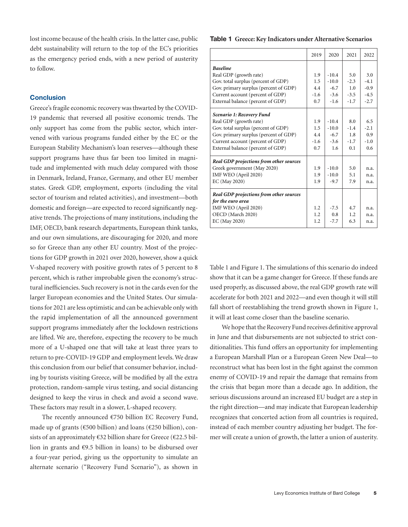lost income because of the health crisis. In the latter case, public debt sustainability will return to the top of the EC's priorities as the emergency period ends, with a new period of austerity to follow.

#### **Conclusion**

Greece's fragile economic recovery was thwarted by the COVID-19 pandemic that reversed all positive economic trends. The only support has come from the public sector, which intervened with various programs funded either by the EC or the European Stability Mechanism's loan reserves—although these support programs have thus far been too limited in magnitude and implemented with much delay compared with those in Denmark, Ireland, France, Germany, and other EU member states. Greek GDP, employment, exports (including the vital sector of tourism and related activities), and investment—both domestic and foreign—are expected to record significantly negative trends. The projections of many institutions, including the IMF, OECD, bank research departments, European think tanks, and our own simulations, are discouraging for 2020, and more so for Greece than any other EU country. Most of the projections for GDP growth in 2021 over 2020, however, show a quick V-shaped recovery with positive growth rates of 5 percent to 8 percent, which is rather improbable given the economy's structural inefficiencies. Such recovery is not in the cards even for the larger European economies and the United States. Our simulations for 2021 are less optimistic and can be achievable only with the rapid implementation of all the announced government support programs immediately after the lockdown restrictions are lifted. We are, therefore, expecting the recovery to be much more of a U-shaped one that will take at least three years to return to pre-COVID-19 GDP and employment levels. We draw this conclusion from our belief that consumer behavior, including by tourists visiting Greece, will be modified by all the extra protection, random-sample virus testing, and social distancing designed to keep the virus in check and avoid a second wave. These factors may result in a slower, L-shaped recovery.

The recently announced €750 billion EC Recovery Fund, made up of grants ( $\epsilon$ 500 billion) and loans ( $\epsilon$ 250 billion), consists of an approximately  $\epsilon$ 32 billion share for Greece ( $\epsilon$ 22.5 billion in grants and €9.5 billion in loans) to be disbursed over a four-year period, giving us the opportunity to simulate an alternate scenario ("Recovery Fund Scenario"), as shown in

#### **Table 1 Greece: Key Indicators under Alternative Scenarios**

|                                         | 2019   | 2020    | 2021   | 2022   |
|-----------------------------------------|--------|---------|--------|--------|
| <b>Baseline</b>                         |        |         |        |        |
| Real GDP (growth rate)                  | 1.9    | $-10.4$ | 5.0    | 3.0    |
| Gov. total surplus (percent of GDP)     | 1.5    | $-10.0$ | $-2.3$ | $-4.1$ |
| Gov. primary surplus (percent of GDP)   | 4.4    | $-6.7$  | 1.0    | $-0.9$ |
| Current account (percent of GDP)        | $-1.6$ | $-3.6$  | $-3.5$ | $-4.5$ |
| External balance (percent of GDP)       | 0.7    | $-1.6$  | $-1.7$ | $-2.7$ |
| Scenario 1: Recovery Fund               |        |         |        |        |
| Real GDP (growth rate)                  | 1.9    | $-10.4$ | 8.0    | 6.5    |
| Gov. total surplus (percent of GDP)     | 1.5    | $-10.0$ | $-1.4$ | $-2.1$ |
| Gov. primary surplus (percent of GDP)   | 4.4    | $-6.7$  | 1.8    | 0.9    |
| Current account (percent of GDP)        | $-1.6$ | $-3.6$  | $-1.7$ | $-1.0$ |
| External balance (percent of GDP)       | 0.7    | 1.6     | 0.1    | 0.6    |
| Real GDP projections from other sources |        |         |        |        |
| Greek government (May 2020)             | 1.9    | $-10.0$ | 5.0    | n.a.   |
| IMF WEO (April 2020)                    | 1.9    | $-10.0$ | 5.1    | n.a.   |
| EC (May 2020)                           | 1.9    | $-9.7$  | 7.9    | n.a.   |
| Real GDP projections from other sources |        |         |        |        |
| for the euro area                       |        |         |        |        |
| IMF WEO (April 2020)                    | 1.2    | $-7.5$  | 4.7    | n.a.   |
| OECD (March 2020)                       | 1.2    | 0.8     | 1.2    | n.a.   |
| EC (May 2020)                           | 1.2    | $-7.7$  | 6.3    | n.a.   |

Table 1 and Figure 1. The simulations of this scenario do indeed show that it can be a game changer for Greece. If these funds are used properly, as discussed above, the real GDP growth rate will accelerate for both 2021 and 2022—and even though it will still fall short of reestablishing the trend growth shown in Figure 1, it will at least come closer than the baseline scenario.

We hope that the Recovery Fund receives definitive approval in June and that disbursements are not subjected to strict conditionalities. This fund offers an opportunity for implementing a European Marshall Plan or a European Green New Deal—to reconstruct what has been lost in the fight against the common enemy of COVID-19 and repair the damage that remains from the crisis that began more than a decade ago. In addition, the serious discussions around an increased EU budget are a step in the right direction—and may indicate that European leadership recognizes that concerted action from all countries is required, instead of each member country adjusting her budget. The former will create a union of growth, the latter a union of austerity.